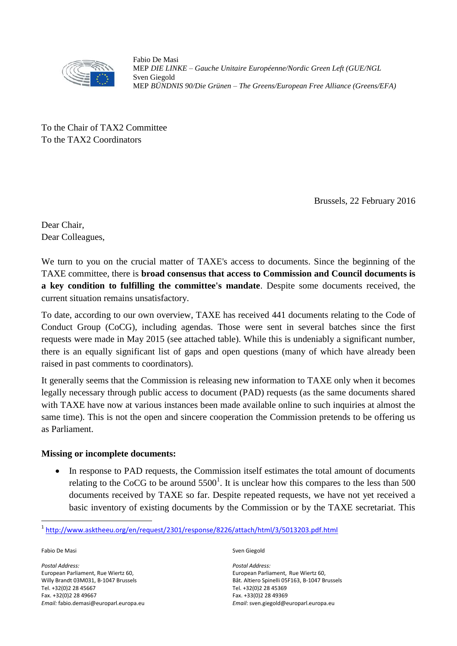

Fabio De Masi MEP *DIE LINKE – Gauche Unitaire Européenne/Nordic Green Left (GUE/NGL* Sven Giegold MEP *BÜNDNIS 90/Die Grünen – The Greens/European Free Alliance (Greens/EFA)*

To the Chair of TAX2 Committee To the TAX2 Coordinators

Brussels, 22 February 2016

Dear Chair, Dear Colleagues,

We turn to you on the crucial matter of TAXE's access to documents. Since the beginning of the TAXE committee, there is **broad consensus that access to Commission and Council documents is a key condition to fulfilling the committee's mandate**. Despite some documents received, the current situation remains unsatisfactory.

To date, according to our own overview, TAXE has received 441 documents relating to the Code of Conduct Group (CoCG), including agendas. Those were sent in several batches since the first requests were made in May 2015 (see attached table). While this is undeniably a significant number, there is an equally significant list of gaps and open questions (many of which have already been raised in past comments to coordinators).

It generally seems that the Commission is releasing new information to TAXE only when it becomes legally necessary through public access to document (PAD) requests (as the same documents shared with TAXE have now at various instances been made available online to such inquiries at almost the same time). This is not the open and sincere cooperation the Commission pretends to be offering us as Parliament.

## **Missing or incomplete documents:**

 In response to PAD requests, the Commission itself estimates the total amount of documents relating to the CoCG to be around  $5500^1$ . It is unclear how this compares to the less than 500 documents received by TAXE so far. Despite repeated requests, we have not yet received a basic inventory of existing documents by the Commission or by the TAXE secretariat. This

Fabio De Masi

1

*Postal Address:* European Parliament, Rue Wiertz 60, Willy Brandt 03M031, B-1047 Brussels Tel. +32(0)2 28 45667 Fax. +32(0)2 28 49667 *Email:* fabio.demasi@europarl.europa.eu Sven Giegold

*Postal Address:* European Parliament, Rue Wiertz 60, Bât. Altiero Spinelli 05F163, B-1047 Brussels Tel. +32(0)2 28 45369 Fax. +33(0)2 28 49369 *Email*: sven.giegold@europarl.europa.eu

<sup>1</sup> <http://www.asktheeu.org/en/request/2301/response/8226/attach/html/3/5013203.pdf.html>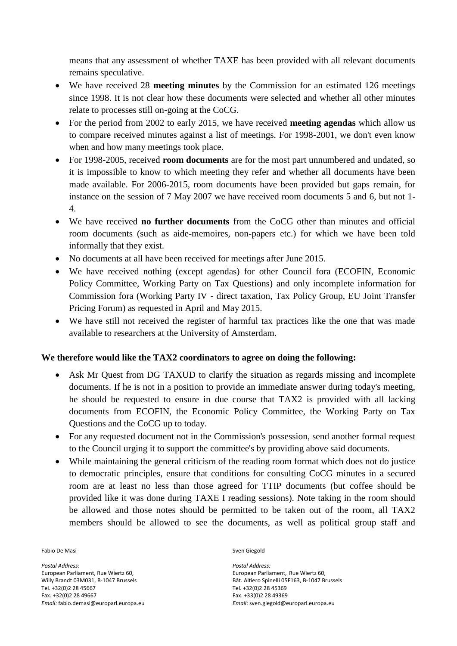means that any assessment of whether TAXE has been provided with all relevant documents remains speculative.

- We have received 28 **meeting minutes** by the Commission for an estimated 126 meetings since 1998. It is not clear how these documents were selected and whether all other minutes relate to processes still on-going at the CoCG.
- For the period from 2002 to early 2015, we have received **meeting agendas** which allow us to compare received minutes against a list of meetings. For 1998-2001, we don't even know when and how many meetings took place.
- For 1998-2005, received **room documents** are for the most part unnumbered and undated, so it is impossible to know to which meeting they refer and whether all documents have been made available. For 2006-2015, room documents have been provided but gaps remain, for instance on the session of 7 May 2007 we have received room documents 5 and 6, but not 1- 4.
- We have received **no further documents** from the CoCG other than minutes and official room documents (such as aide-memoires, non-papers etc.) for which we have been told informally that they exist.
- No documents at all have been received for meetings after June 2015.
- We have received nothing (except agendas) for other Council fora (ECOFIN, Economic Policy Committee, Working Party on Tax Questions) and only incomplete information for Commission fora (Working Party IV - direct taxation, Tax Policy Group, EU Joint Transfer Pricing Forum) as requested in April and May 2015.
- We have still not received the register of harmful tax practices like the one that was made available to researchers at the University of Amsterdam.

## **We therefore would like the TAX2 coordinators to agree on doing the following:**

- Ask Mr Quest from DG TAXUD to clarify the situation as regards missing and incomplete documents. If he is not in a position to provide an immediate answer during today's meeting, he should be requested to ensure in due course that TAX2 is provided with all lacking documents from ECOFIN, the Economic Policy Committee, the Working Party on Tax Questions and the CoCG up to today.
- For any requested document not in the Commission's possession, send another formal request to the Council urging it to support the committee's by providing above said documents.
- While maintaining the general criticism of the reading room format which does not do justice to democratic principles, ensure that conditions for consulting CoCG minutes in a secured room are at least no less than those agreed for TTIP documents (but coffee should be provided like it was done during TAXE I reading sessions). Note taking in the room should be allowed and those notes should be permitted to be taken out of the room, all TAX2 members should be allowed to see the documents, as well as political group staff and

Fabio De Masi

*Postal Address:* European Parliament, Rue Wiertz 60, Willy Brandt 03M031, B-1047 Brussels Tel. +32(0)2 28 45667 Fax. +32(0)2 28 49667 *Email:* fabio.demasi@europarl.europa.eu Sven Giegold

*Postal Address:* European Parliament, Rue Wiertz 60, Bât. Altiero Spinelli 05F163, B-1047 Brussels Tel. +32(0)2 28 45369 Fax. +33(0)2 28 49369 *Email*: sven.giegold@europarl.europa.eu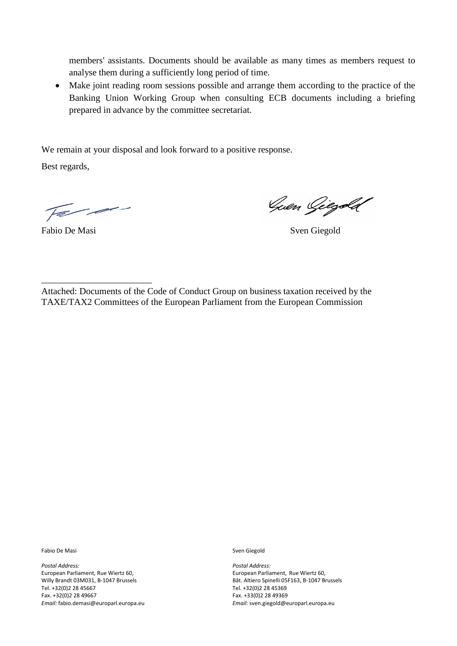members' assistants. Documents should be available as many times as members request to analyse them during a sufficiently long period of time.

 Make joint reading room sessions possible and arrange them according to the practice of the Banking Union Working Group when consulting ECB documents including a briefing prepared in advance by the committee secretariat.

We remain at your disposal and look forward to a positive response.

Best regards,

Far.

\_\_\_\_\_\_\_\_\_\_\_\_\_\_\_\_\_\_\_\_\_\_\_\_

Guen Giegold

Fabio De Masi Sven Giegold

Attached: Documents of the Code of Conduct Group on business taxation received by the TAXE/TAX2 Committees of the European Parliament from the European Commission

Fabio De Masi

*Postal Address:* European Parliament, Rue Wiertz 60, Willy Brandt 03M031, B-1047 Brussels Tel. +32(0)2 28 45667 Fax. +32(0)2 28 49667 *Email:* fabio.demasi@europarl.europa.eu Sven Giegold

*Postal Address:* European Parliament, Rue Wiertz 60, Bât. Altiero Spinelli 05F163, B-1047 Brussels Tel. +32(0)2 28 45369 Fax. +33(0)2 28 49369 *Email*: sven.giegold@europarl.europa.eu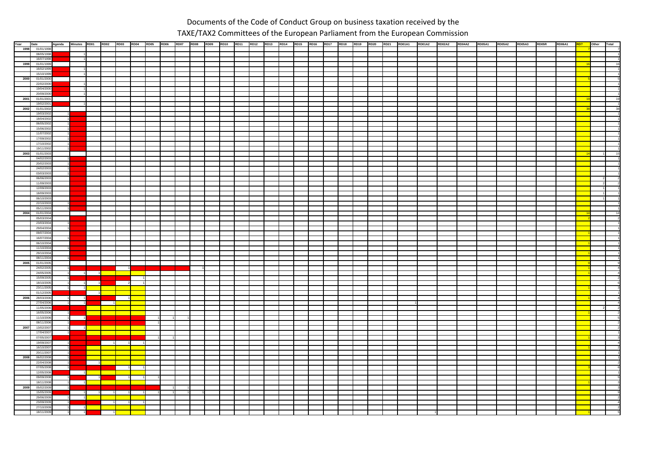## Documents of the Code of Conduct Group on business taxation received by the TAXE/TAX2 Committees of the European Parliament from the European Commission

| Year | Date                     | Agenda | Minutes RD01   |                | <b>RD02</b> | RD03 RD04 | <b>RD05</b> | <b>RD06</b> | <b>RD07</b> | RD08 RD09 RD10 | <b>RD11</b> | <b>RD12</b> | RD13 RD14 RD15 |  | <b>RD16</b> |  |  | RD17 RD18 RD19 RD20 RD21 RD01A1 RD01A2 RD02A2 RD04A2 RD05A1 |  |  | RD05A2 RD05A3 | RD05R | <b>RD06A1</b> | Other | <b>Total</b> |
|------|--------------------------|--------|----------------|----------------|-------------|-----------|-------------|-------------|-------------|----------------|-------------|-------------|----------------|--|-------------|--|--|-------------------------------------------------------------|--|--|---------------|-------|---------------|-------|--------------|
|      | 1998 01/01/1998          |        |                |                |             |           |             |             |             |                |             |             |                |  |             |  |  |                                                             |  |  |               |       |               |       |              |
|      | 08/05/1998               |        |                |                |             |           |             |             |             |                |             |             |                |  |             |  |  |                                                             |  |  |               |       |               |       |              |
|      | 16/07/1998               |        |                |                |             |           |             |             |             |                |             |             |                |  |             |  |  |                                                             |  |  |               |       |               |       |              |
| 1999 | 01/01/1999               |        |                |                |             |           |             |             |             |                |             |             |                |  |             |  |  |                                                             |  |  |               |       |               |       |              |
|      | 16/02/1999               |        |                |                |             |           |             |             |             |                |             |             |                |  |             |  |  |                                                             |  |  |               |       |               |       |              |
|      | 15/10/1999               |        |                |                |             |           |             |             |             |                |             |             |                |  |             |  |  |                                                             |  |  |               |       |               |       |              |
|      | 2000 01/01/2000          |        |                |                |             |           |             |             |             |                |             |             |                |  |             |  |  |                                                             |  |  |               |       |               |       |              |
|      | 22/02/2000               |        |                |                |             |           |             |             |             |                |             |             |                |  |             |  |  |                                                             |  |  |               |       |               |       |              |
|      | 19/04/2000               |        |                |                |             |           |             |             |             |                |             |             |                |  |             |  |  |                                                             |  |  |               |       |               |       |              |
|      | 20/09/2000               |        |                |                |             |           |             |             |             |                |             |             |                |  |             |  |  |                                                             |  |  |               |       |               |       |              |
| 2001 | 01/01/2001               |        |                |                |             |           |             |             |             |                |             |             |                |  |             |  |  |                                                             |  |  |               |       |               |       |              |
|      | 19/02/2001               |        |                |                |             |           |             |             |             |                |             |             |                |  |             |  |  |                                                             |  |  |               |       |               |       |              |
| 2002 | 01/01/2002               |        |                |                |             |           |             |             |             |                |             |             |                |  |             |  |  |                                                             |  |  |               |       |               |       | 38           |
|      | 19/03/2002               |        |                |                |             |           |             |             |             |                |             |             |                |  |             |  |  |                                                             |  |  |               |       |               |       |              |
|      | 18/04/2002               |        |                |                |             |           |             |             |             |                |             |             |                |  |             |  |  |                                                             |  |  |               |       |               |       |              |
|      | 06/05/2002               |        |                |                |             |           |             |             |             |                |             |             |                |  |             |  |  |                                                             |  |  |               |       |               |       |              |
|      | 15/06/2002               |        |                |                |             |           |             |             |             |                |             |             |                |  |             |  |  |                                                             |  |  |               |       |               |       |              |
|      | 11/07/2002               |        |                |                |             |           |             |             |             |                |             |             |                |  |             |  |  |                                                             |  |  |               |       |               |       |              |
|      | 17/09/2002               |        |                |                |             |           |             |             |             |                |             |             |                |  |             |  |  |                                                             |  |  |               |       |               |       |              |
|      | 17/10/2002               |        |                |                |             |           |             |             |             |                |             |             |                |  |             |  |  |                                                             |  |  |               |       |               |       |              |
|      | 19/11/2002               |        |                |                |             |           |             |             |             |                |             |             |                |  |             |  |  |                                                             |  |  |               |       |               |       |              |
| 2003 | 01/01/2003               |        |                |                |             |           |             |             |             |                |             |             |                |  |             |  |  |                                                             |  |  |               |       |               |       |              |
|      | 04/02/2003               |        |                |                |             |           |             |             |             |                |             |             |                |  |             |  |  |                                                             |  |  |               |       |               |       |              |
|      | 20/02/2003               |        |                |                |             |           |             |             |             |                |             |             |                |  |             |  |  |                                                             |  |  |               |       |               |       |              |
|      | 24/02/2003               |        |                |                |             |           |             |             |             |                |             |             |                |  |             |  |  |                                                             |  |  |               |       |               |       |              |
|      | 03/03/2003               |        |                |                |             |           |             |             |             |                |             |             |                |  |             |  |  |                                                             |  |  |               |       |               |       |              |
|      | 06/06/2003               |        |                |                |             |           |             |             |             |                |             |             |                |  |             |  |  |                                                             |  |  |               |       |               |       |              |
|      | 11/09/2003               |        |                |                |             |           |             |             |             |                |             |             |                |  |             |  |  |                                                             |  |  |               |       |               |       |              |
|      | 12/09/2003               |        |                |                |             |           |             |             |             |                |             |             |                |  |             |  |  |                                                             |  |  |               |       |               |       |              |
|      | 18/09/2003               |        |                |                |             |           |             |             |             |                |             |             |                |  |             |  |  |                                                             |  |  |               |       |               |       |              |
|      | 06/10/2003               |        |                |                |             |           |             |             |             |                |             |             |                |  |             |  |  |                                                             |  |  |               |       |               |       |              |
|      | 22/10/2003               |        |                |                |             |           |             |             |             |                |             |             |                |  |             |  |  |                                                             |  |  |               |       |               |       |              |
|      | 05/11/2003               |        |                |                |             |           |             |             |             |                |             |             |                |  |             |  |  |                                                             |  |  |               |       |               |       |              |
| 2004 | 01/01/2004               |        |                |                |             |           |             |             |             |                |             |             |                |  |             |  |  |                                                             |  |  |               |       |               |       |              |
|      | 05/03/2004               |        |                |                |             |           |             |             |             |                |             |             |                |  |             |  |  |                                                             |  |  |               |       |               |       |              |
|      | 23/03/2004               |        |                |                |             |           |             |             |             |                |             |             |                |  |             |  |  |                                                             |  |  |               |       |               |       |              |
|      | 29/04/2004               |        |                |                |             |           |             |             |             |                |             |             |                |  |             |  |  |                                                             |  |  |               |       |               |       |              |
|      | 09/07/2004               |        |                |                |             |           |             |             |             |                |             |             |                |  |             |  |  |                                                             |  |  |               |       |               |       |              |
|      | 16/07/2004               |        |                |                |             |           |             |             |             |                |             |             |                |  |             |  |  |                                                             |  |  |               |       |               |       |              |
|      | 06/10/2004               |        |                |                |             |           |             |             |             |                |             |             |                |  |             |  |  |                                                             |  |  |               |       |               |       |              |
|      | 11/10/2004               |        |                |                |             |           |             |             |             |                |             |             |                |  |             |  |  |                                                             |  |  |               |       |               |       |              |
|      | 29/10/2004               |        |                |                |             |           |             |             |             |                |             |             |                |  |             |  |  |                                                             |  |  |               |       |               |       |              |
| 2005 | 08/11/2004<br>01/01/2005 |        |                |                |             |           |             |             |             |                |             |             |                |  |             |  |  |                                                             |  |  |               |       |               |       |              |
|      | 24/02/2005               |        |                |                |             |           |             |             |             |                |             |             |                |  |             |  |  |                                                             |  |  |               |       |               |       |              |
|      | 24/05/2005               |        |                |                |             |           |             |             |             |                |             |             |                |  |             |  |  |                                                             |  |  |               |       |               |       |              |
|      | 15/09/2005               |        | $\overline{1}$ | $\overline{1}$ |             |           |             |             |             |                |             |             |                |  |             |  |  |                                                             |  |  |               |       |               |       |              |
|      | 18/10/2005               |        |                |                |             |           |             |             |             |                |             |             |                |  |             |  |  |                                                             |  |  |               |       |               |       |              |
|      | 23/11/2005               |        |                |                |             |           |             |             |             |                |             |             |                |  |             |  |  |                                                             |  |  |               |       |               |       |              |
|      | 01/12/2005               |        |                |                |             |           |             |             |             |                |             |             |                |  |             |  |  |                                                             |  |  |               |       |               |       |              |
| 2006 | 28/03/2006               |        |                |                |             |           |             |             |             |                |             |             |                |  |             |  |  |                                                             |  |  |               |       |               |       |              |
|      | 27/04/2006               |        |                |                |             |           |             |             |             |                |             |             |                |  |             |  |  |                                                             |  |  |               |       |               |       |              |
|      | 11/05/2006               |        |                |                |             |           |             |             |             |                |             |             |                |  |             |  |  |                                                             |  |  |               |       |               |       |              |
|      | 16/05/2006               |        |                |                |             |           |             |             |             |                |             |             |                |  |             |  |  |                                                             |  |  |               |       |               |       |              |
|      | 11/10/2006               |        |                |                |             |           |             |             |             |                |             |             |                |  |             |  |  |                                                             |  |  |               |       |               |       |              |
|      | 08/11/2006               |        |                |                |             |           |             |             |             |                |             |             |                |  |             |  |  |                                                             |  |  |               |       |               |       |              |
| 2007 | 13/02/2007               |        |                |                |             |           |             |             |             |                |             |             |                |  |             |  |  |                                                             |  |  |               |       |               |       |              |
|      | 17/04/2007               |        |                |                |             |           |             |             |             |                |             |             |                |  |             |  |  |                                                             |  |  |               |       |               |       |              |
|      | 07/05/2007               |        |                |                |             |           |             |             |             |                |             |             |                |  |             |  |  |                                                             |  |  |               |       |               |       |              |
|      | 19/09/2007               |        |                |                |             |           |             |             |             |                |             |             |                |  |             |  |  |                                                             |  |  |               |       |               |       |              |
|      | 16/10/2007               |        |                |                |             |           |             |             |             |                |             |             |                |  |             |  |  |                                                             |  |  |               |       |               |       |              |
|      | 20/11/2007               |        |                |                |             |           |             |             |             |                |             |             |                |  |             |  |  |                                                             |  |  |               |       |               |       |              |
| 2008 | 06/02/2008               |        |                |                |             |           |             |             |             |                |             |             |                |  |             |  |  |                                                             |  |  |               |       |               |       |              |
|      | 22/04/2008               |        |                |                |             |           |             |             |             |                |             |             |                |  |             |  |  |                                                             |  |  |               |       |               |       |              |
|      | 07/05/2008               |        |                |                |             |           |             |             |             |                |             |             |                |  |             |  |  |                                                             |  |  |               |       |               |       |              |
|      | 12/05/2008               |        |                |                |             |           |             |             |             |                |             |             |                |  |             |  |  |                                                             |  |  |               |       |               |       |              |
|      | 09/09/2008               |        |                |                |             |           |             |             |             |                |             |             |                |  |             |  |  |                                                             |  |  |               |       |               |       |              |
|      | 18/11/2008               |        |                |                |             |           |             |             |             |                |             |             |                |  |             |  |  |                                                             |  |  |               |       |               |       |              |
| 2009 | 05/02/2009               |        |                |                |             |           |             |             |             |                |             |             |                |  |             |  |  |                                                             |  |  |               |       |               |       |              |
|      | 15/05/2009               |        |                |                |             |           |             |             |             |                |             |             |                |  |             |  |  |                                                             |  |  |               |       |               |       |              |
|      | 29/06/2009               |        |                |                |             |           |             |             |             |                |             |             |                |  |             |  |  |                                                             |  |  |               |       |               |       |              |
|      | 23/09/2009               |        |                |                |             |           |             |             |             |                |             |             |                |  |             |  |  |                                                             |  |  |               |       |               |       |              |
|      | 27/10/2009               |        |                |                |             |           |             |             |             |                |             |             |                |  |             |  |  |                                                             |  |  |               |       |               |       |              |
|      | 18/11/2009               |        |                |                |             |           |             |             |             |                |             |             |                |  |             |  |  |                                                             |  |  |               |       |               |       |              |